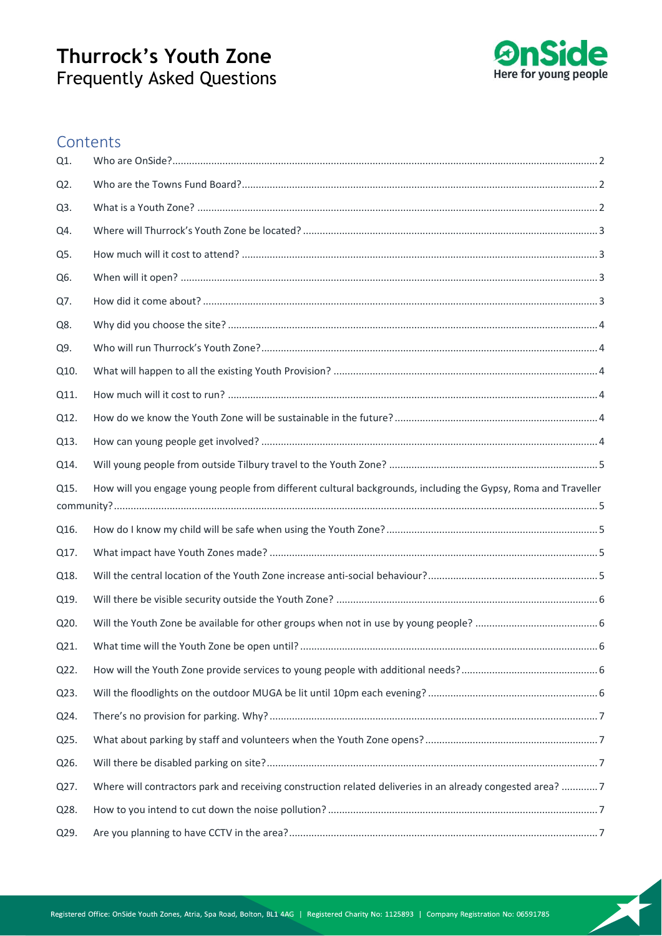

## **Contents**

| Q1.  |                                                                                                               |  |
|------|---------------------------------------------------------------------------------------------------------------|--|
| Q2.  |                                                                                                               |  |
| Q3.  |                                                                                                               |  |
| Q4.  |                                                                                                               |  |
| Q5.  |                                                                                                               |  |
| Q6.  |                                                                                                               |  |
| Q7.  |                                                                                                               |  |
| Q8.  |                                                                                                               |  |
| Q9.  |                                                                                                               |  |
| Q10. |                                                                                                               |  |
| Q11. |                                                                                                               |  |
| Q12. |                                                                                                               |  |
| Q13. |                                                                                                               |  |
| Q14. |                                                                                                               |  |
| Q15. | How will you engage young people from different cultural backgrounds, including the Gypsy, Roma and Traveller |  |
|      |                                                                                                               |  |
| Q16. |                                                                                                               |  |
| Q17. |                                                                                                               |  |
| Q18. |                                                                                                               |  |
| Q19. |                                                                                                               |  |
| Q20. |                                                                                                               |  |
| Q21. |                                                                                                               |  |
| Q22. |                                                                                                               |  |
| Q23. |                                                                                                               |  |
| Q24. |                                                                                                               |  |
| Q25. |                                                                                                               |  |
| Q26. |                                                                                                               |  |
| Q27. | Where will contractors park and receiving construction related deliveries in an already congested area? 7     |  |
| Q28. |                                                                                                               |  |
| Q29. |                                                                                                               |  |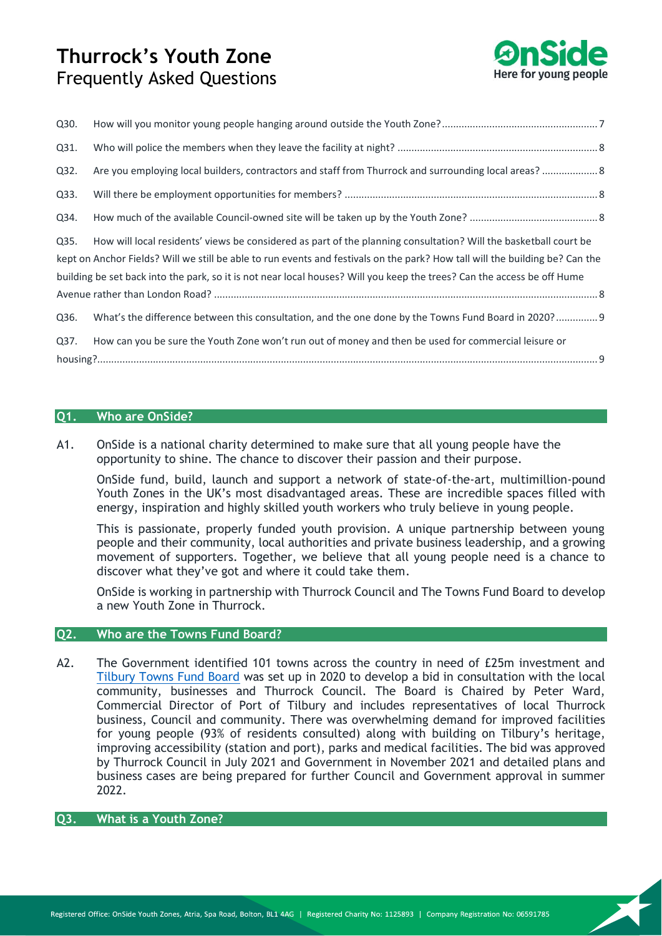

| Q30.                                                                                                                         |                                                                                                                         |  |  |
|------------------------------------------------------------------------------------------------------------------------------|-------------------------------------------------------------------------------------------------------------------------|--|--|
| Q31.                                                                                                                         |                                                                                                                         |  |  |
| Q32.                                                                                                                         | Are you employing local builders, contractors and staff from Thurrock and surrounding local areas?  8                   |  |  |
| Q33.                                                                                                                         |                                                                                                                         |  |  |
| Q34.                                                                                                                         |                                                                                                                         |  |  |
| Q35.                                                                                                                         | How will local residents' views be considered as part of the planning consultation? Will the basketball court be        |  |  |
| kept on Anchor Fields? Will we still be able to run events and festivals on the park? How tall will the building be? Can the |                                                                                                                         |  |  |
|                                                                                                                              | building be set back into the park, so it is not near local houses? Will you keep the trees? Can the access be off Hume |  |  |
|                                                                                                                              |                                                                                                                         |  |  |
| Q36.                                                                                                                         | What's the difference between this consultation, and the one done by the Towns Fund Board in 2020?  9                   |  |  |
| Q37.                                                                                                                         | How can you be sure the Youth Zone won't run out of money and then be used for commercial leisure or                    |  |  |
|                                                                                                                              |                                                                                                                         |  |  |

## <span id="page-1-0"></span>**Q1. Who are OnSide?**

A1. OnSide is a national charity determined to make sure that all young people have the opportunity to shine. The chance to discover their passion and their purpose.

OnSide fund, build, launch and support a network of state-of-the-art, multimillion-pound Youth Zones in the UK's most disadvantaged areas. These are incredible spaces filled with energy, inspiration and highly skilled youth workers who truly believe in young people.

This is passionate, properly funded youth provision. A unique partnership between young people and their community, local authorities and private business leadership, and a growing movement of supporters. Together, we believe that all young people need is a chance to discover what they've got and where it could take them.

OnSide is working in partnership with Thurrock Council and The Towns Fund Board to develop a new Youth Zone in Thurrock.

## <span id="page-1-1"></span>**Q2. Who are the Towns Fund Board?**

A2. The Government identified 101 towns across the country in need of £25m investment and [Tilbury Towns Fund Board](https://tilburytownfund.co.uk/) was set up in 2020 to develop a bid in consultation with the local community, businesses and Thurrock Council. The Board is Chaired by Peter Ward, Commercial Director of Port of Tilbury and includes representatives of local Thurrock business, Council and community. There was overwhelming demand for improved facilities for young people (93% of residents consulted) along with building on Tilbury's heritage, improving accessibility (station and port), parks and medical facilities. The bid was approved by Thurrock Council in July 2021 and Government in November 2021 and detailed plans and business cases are being prepared for further Council and Government approval in summer 2022.

## <span id="page-1-2"></span>**Q3. What is a Youth Zone?**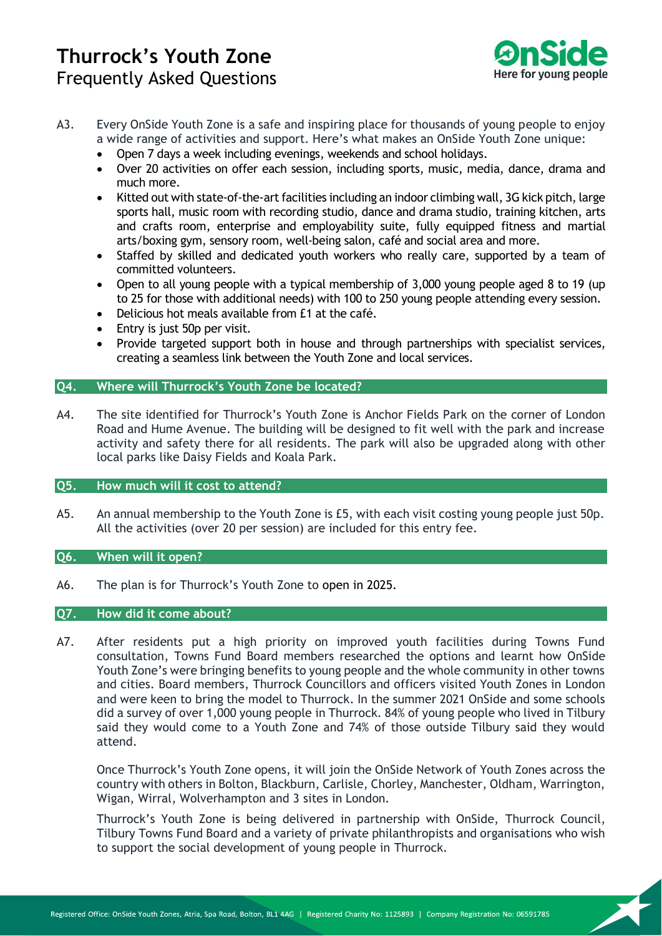

- A3. Every OnSide Youth Zone is a safe and inspiring place for thousands of young people to enjoy a wide range of activities and support. Here's what makes an OnSide Youth Zone unique:
	- Open 7 days a week including evenings, weekends and school holidays.
	- Over 20 activities on offer each session, including sports, music, media, dance, drama and much more.
	- Kitted out with state-of-the-art facilities including an indoor climbing wall, 3G kick pitch, large sports hall, music room with recording studio, dance and drama studio, training kitchen, arts and crafts room, enterprise and employability suite, fully equipped fitness and martial arts/boxing gym, sensory room, well-being salon, café and social area and more.
	- Staffed by skilled and dedicated youth workers who really care, supported by a team of committed volunteers.
	- Open to all young people with a typical membership of 3,000 young people aged 8 to 19 (up to 25 for those with additional needs) with 100 to 250 young people attending every session.
	- Delicious hot meals available from £1 at the café.
	- Entry is just 50p per visit.
	- Provide targeted support both in house and through partnerships with specialist services, creating a seamless link between the Youth Zone and local services.

## <span id="page-2-0"></span>**Q4. Where will Thurrock's Youth Zone be located?**

A4. The site identified for Thurrock's Youth Zone is Anchor Fields Park on the corner of London Road and Hume Avenue. The building will be designed to fit well with the park and increase activity and safety there for all residents. The park will also be upgraded along with other local parks like Daisy Fields and Koala Park.

#### <span id="page-2-1"></span>**Q5. How much will it cost to attend?**

A5. An annual membership to the Youth Zone is £5, with each visit costing young people just 50p. All the activities (over 20 per session) are included for this entry fee.

## <span id="page-2-2"></span>**Q6. When will it open?**

A6. The plan is for Thurrock's Youth Zone to open in 2025.

#### <span id="page-2-3"></span>**Q7. How did it come about?**

A7. After residents put a high priority on improved youth facilities during Towns Fund consultation, Towns Fund Board members researched the options and learnt how OnSide Youth Zone's were bringing benefits to young people and the whole community in other towns and cities. Board members, Thurrock Councillors and officers visited Youth Zones in London and were keen to bring the model to Thurrock. In the summer 2021 OnSide and some schools did a survey of over 1,000 young people in Thurrock. 84% of young people who lived in Tilbury said they would come to a Youth Zone and 74% of those outside Tilbury said they would attend.

Once Thurrock's Youth Zone opens, it will join the OnSide Network of Youth Zones across the country with others in Bolton, Blackburn, Carlisle, Chorley, Manchester, Oldham, Warrington, Wigan, Wirral, Wolverhampton and 3 sites in London.

Thurrock's Youth Zone is being delivered in partnership with OnSide, Thurrock Council, Tilbury Towns Fund Board and a variety of private philanthropists and organisations who wish to support the social development of young people in Thurrock.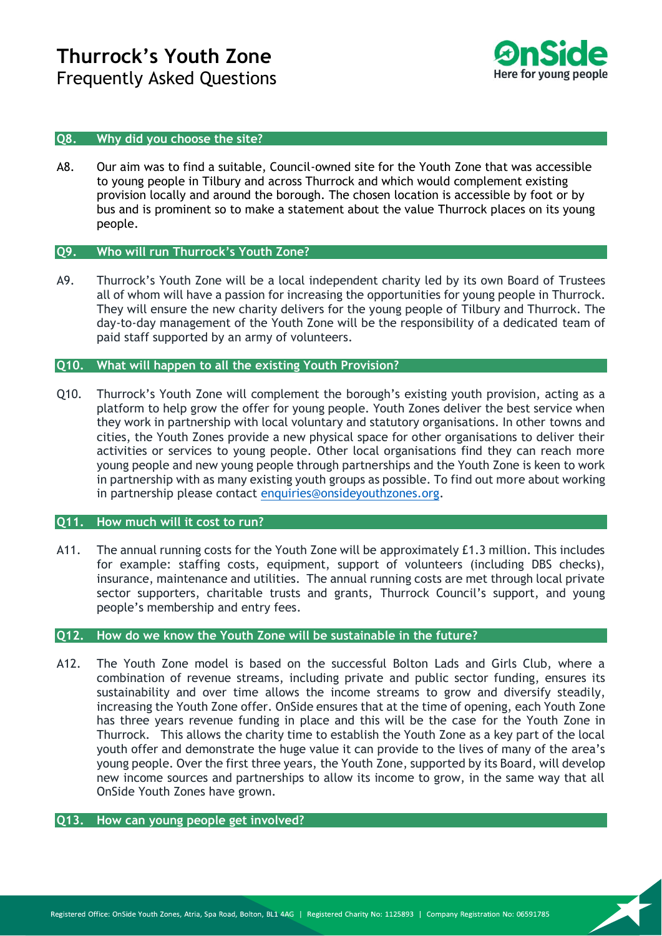

#### <span id="page-3-0"></span>**Q8. Why did you choose the site?**

A8. Our aim was to find a suitable, Council-owned site for the Youth Zone that was accessible to young people in Tilbury and across Thurrock and which would complement existing provision locally and around the borough. The chosen location is accessible by foot or by bus and is prominent so to make a statement about the value Thurrock places on its young people.

### <span id="page-3-1"></span>**Q9. Who will run Thurrock's Youth Zone?**

A9. Thurrock's Youth Zone will be a local independent charity led by its own Board of Trustees all of whom will have a passion for increasing the opportunities for young people in Thurrock. They will ensure the new charity delivers for the young people of Tilbury and Thurrock. The day-to-day management of the Youth Zone will be the responsibility of a dedicated team of paid staff supported by an army of volunteers.

#### <span id="page-3-2"></span>**Q10. What will happen to all the existing Youth Provision?**

Q10. Thurrock's Youth Zone will complement the borough's existing youth provision, acting as a platform to help grow the offer for young people. Youth Zones deliver the best service when they work in partnership with local voluntary and statutory organisations. In other towns and cities, the Youth Zones provide a new physical space for other organisations to deliver their activities or services to young people. Other local organisations find they can reach more young people and new young people through partnerships and the Youth Zone is keen to work in partnership with as many existing youth groups as possible. To find out more about working in partnership please contact [enquiries@onsideyouthzones.org.](mailto:enquiries@onsideyouthzones.org)

#### <span id="page-3-3"></span>**Q11. How much will it cost to run?**

A11. The annual running costs for the Youth Zone will be approximately £1.3 million. This includes for example: staffing costs, equipment, support of volunteers (including DBS checks), insurance, maintenance and utilities. The annual running costs are met through local private sector supporters, charitable trusts and grants, Thurrock Council's support, and young people's membership and entry fees.

#### <span id="page-3-4"></span>**Q12. How do we know the Youth Zone will be sustainable in the future?**

A12. The Youth Zone model is based on the successful Bolton Lads and Girls Club, where a combination of revenue streams, including private and public sector funding, ensures its sustainability and over time allows the income streams to grow and diversify steadily, increasing the Youth Zone offer. OnSide ensures that at the time of opening, each Youth Zone has three years revenue funding in place and this will be the case for the Youth Zone in Thurrock. This allows the charity time to establish the Youth Zone as a key part of the local youth offer and demonstrate the huge value it can provide to the lives of many of the area's young people. Over the first three years, the Youth Zone, supported by its Board, will develop new income sources and partnerships to allow its income to grow, in the same way that all OnSide Youth Zones have grown.

## <span id="page-3-5"></span>**Q13. How can young people get involved?**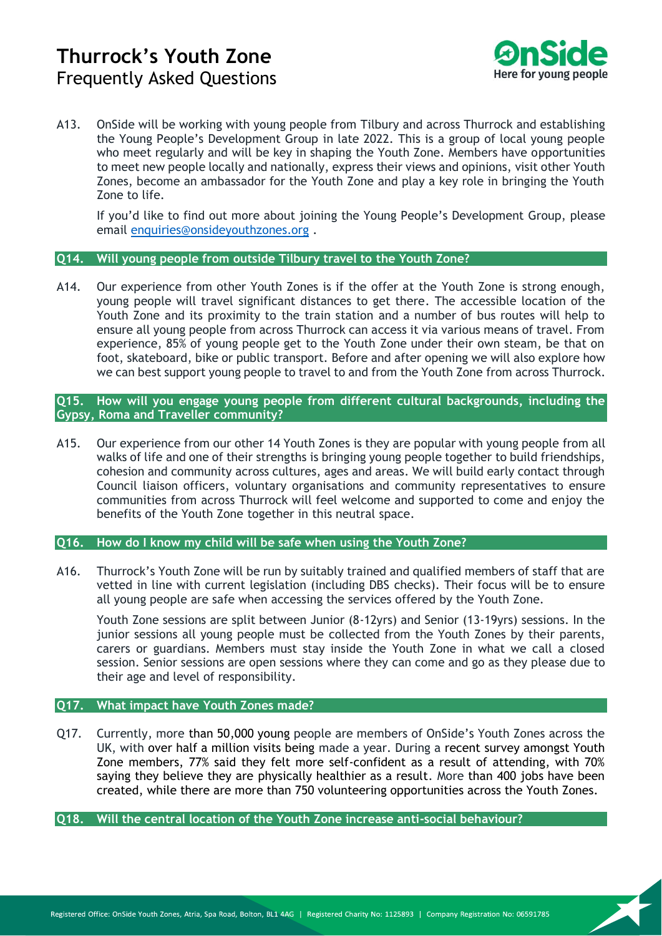

A13. OnSide will be working with young people from Tilbury and across Thurrock and establishing the Young People's Development Group in late 2022. This is a group of local young people who meet regularly and will be key in shaping the Youth Zone. Members have opportunities to meet new people locally and nationally, express their views and opinions, visit other Youth Zones, become an ambassador for the Youth Zone and play a key role in bringing the Youth Zone to life.

If you'd like to find out more about joining the Young People's Development Group, please email [enquiries@onsideyouthzones.org](mailto:enquiries@onsideyouthzones.org) .

#### <span id="page-4-0"></span>**Q14. Will young people from outside Tilbury travel to the Youth Zone?**

A14. Our experience from other Youth Zones is if the offer at the Youth Zone is strong enough, young people will travel significant distances to get there. The accessible location of the Youth Zone and its proximity to the train station and a number of bus routes will help to ensure all young people from across Thurrock can access it via various means of travel. From experience, 85% of young people get to the Youth Zone under their own steam, be that on foot, skateboard, bike or public transport. Before and after opening we will also explore how we can best support young people to travel to and from the Youth Zone from across Thurrock.

## <span id="page-4-1"></span>**Q15. How will you engage young people from different cultural backgrounds, including the Gypsy, Roma and Traveller community?**

A15. Our experience from our other 14 Youth Zones is they are popular with young people from all walks of life and one of their strengths is bringing young people together to build friendships, cohesion and community across cultures, ages and areas. We will build early contact through Council liaison officers, voluntary organisations and community representatives to ensure communities from across Thurrock will feel welcome and supported to come and enjoy the benefits of the Youth Zone together in this neutral space.

#### <span id="page-4-2"></span>**Q16. How do I know my child will be safe when using the Youth Zone?**

A16. Thurrock's Youth Zone will be run by suitably trained and qualified members of staff that are vetted in line with current legislation (including DBS checks). Their focus will be to ensure all young people are safe when accessing the services offered by the Youth Zone.

Youth Zone sessions are split between Junior (8-12yrs) and Senior (13-19yrs) sessions. In the junior sessions all young people must be collected from the Youth Zones by their parents, carers or guardians. Members must stay inside the Youth Zone in what we call a closed session. Senior sessions are open sessions where they can come and go as they please due to their age and level of responsibility.

### <span id="page-4-3"></span>**Q17. What impact have Youth Zones made?**

Q17. Currently, more than 50,000 young people are members of OnSide's Youth Zones across the UK, with over half a million visits being made a year. During a recent survey amongst Youth Zone members, 77% said they felt more self-confident as a result of attending, with 70% saying they believe they are physically healthier as a result. More than 400 jobs have been created, while there are more than 750 volunteering opportunities across the Youth Zones.

<span id="page-4-4"></span>**Q18. Will the central location of the Youth Zone increase anti-social behaviour?**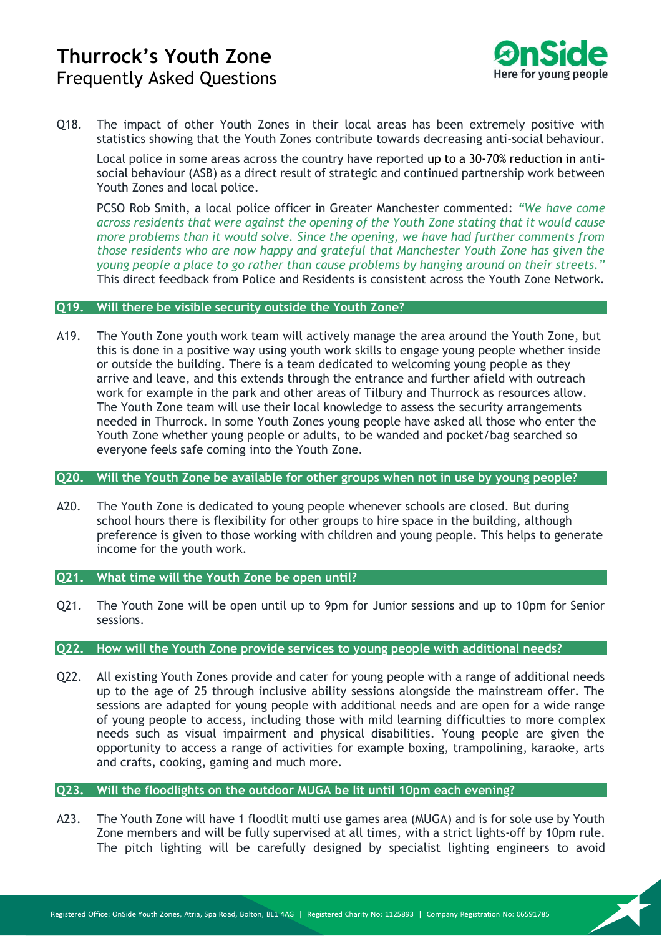

Q18. The impact of other Youth Zones in their local areas has been extremely positive with statistics showing that the Youth Zones contribute towards decreasing anti-social behaviour.

Local police in some areas across the country have reported up to a 30-70% reduction in antisocial behaviour (ASB) as a direct result of strategic and continued partnership work between Youth Zones and local police.

PCSO Rob Smith, a local police officer in Greater Manchester commented: *"We have come across residents that were against the opening of the Youth Zone stating that it would cause more problems than it would solve. Since the opening, we have had further comments from those residents who are now happy and grateful that Manchester Youth Zone has given the young people a place to go rather than cause problems by hanging around on their streets."* This direct feedback from Police and Residents is consistent across the Youth Zone Network.

#### <span id="page-5-0"></span>**Q19. Will there be visible security outside the Youth Zone?**

A19. The Youth Zone youth work team will actively manage the area around the Youth Zone, but this is done in a positive way using youth work skills to engage young people whether inside or outside the building. There is a team dedicated to welcoming young people as they arrive and leave, and this extends through the entrance and further afield with outreach work for example in the park and other areas of Tilbury and Thurrock as resources allow. The Youth Zone team will use their local knowledge to assess the security arrangements needed in Thurrock. In some Youth Zones young people have asked all those who enter the Youth Zone whether young people or adults, to be wanded and pocket/bag searched so everyone feels safe coming into the Youth Zone.

#### <span id="page-5-1"></span>**Q20. Will the Youth Zone be available for other groups when not in use by young people?**

A20. The Youth Zone is dedicated to young people whenever schools are closed. But during school hours there is flexibility for other groups to hire space in the building, although preference is given to those working with children and young people. This helps to generate income for the youth work.

#### <span id="page-5-2"></span>**Q21. What time will the Youth Zone be open until?**

Q21. The Youth Zone will be open until up to 9pm for Junior sessions and up to 10pm for Senior sessions.

#### <span id="page-5-3"></span>**Q22. How will the Youth Zone provide services to young people with additional needs?**

Q22. All existing Youth Zones provide and cater for young people with a range of additional needs up to the age of 25 through inclusive ability sessions alongside the mainstream offer. The sessions are adapted for young people with additional needs and are open for a wide range of young people to access, including those with mild learning difficulties to more complex needs such as visual impairment and physical disabilities. Young people are given the opportunity to access a range of activities for example boxing, trampolining, karaoke, arts and crafts, cooking, gaming and much more.

### <span id="page-5-4"></span>**Q23. Will the floodlights on the outdoor MUGA be lit until 10pm each evening?**

A23. The Youth Zone will have 1 floodlit multi use games area (MUGA) and is for sole use by Youth Zone members and will be fully supervised at all times, with a strict lights-off by 10pm rule. The pitch lighting will be carefully designed by specialist lighting engineers to avoid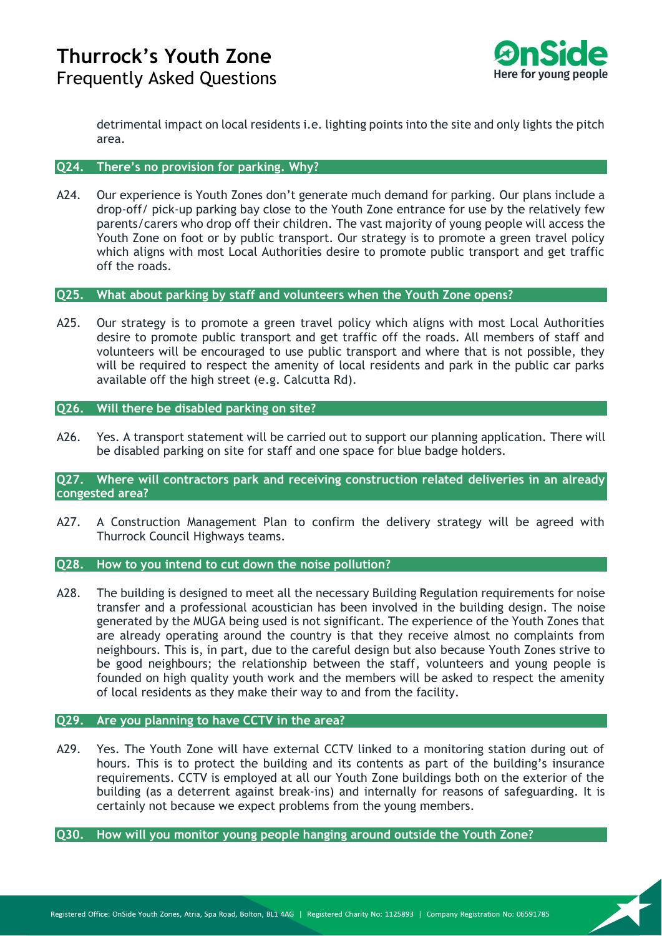

detrimental impact on local residents i.e. lighting points into the site and only lights the pitch area.

#### <span id="page-6-0"></span>**Q24. There's no provision for parking. Why?**

A24. Our experience is Youth Zones don't generate much demand for parking. Our plans include a drop-off/ pick-up parking bay close to the Youth Zone entrance for use by the relatively few parents/carers who drop off their children. The vast majority of young people will access the Youth Zone on foot or by public transport. Our strategy is to promote a green travel policy which aligns with most Local Authorities desire to promote public transport and get traffic off the roads.

#### <span id="page-6-1"></span>**Q25. What about parking by staff and volunteers when the Youth Zone opens?**

A25. Our strategy is to promote a green travel policy which aligns with most Local Authorities desire to promote public transport and get traffic off the roads. All members of staff and volunteers will be encouraged to use public transport and where that is not possible, they will be required to respect the amenity of local residents and park in the public car parks available off the high street (e.g. Calcutta Rd).

#### <span id="page-6-2"></span>**Q26. Will there be disabled parking on site?**

A26. Yes. A transport statement will be carried out to support our planning application. There will be disabled parking on site for staff and one space for blue badge holders.

#### <span id="page-6-3"></span>**Q27. Where will contractors park and receiving construction related deliveries in an already congested area?**

A27. A Construction Management Plan to confirm the delivery strategy will be agreed with Thurrock Council Highways teams.

#### <span id="page-6-4"></span>**Q28. How to you intend to cut down the noise pollution?**

A28. The building is designed to meet all the necessary Building Regulation requirements for noise transfer and a professional acoustician has been involved in the building design. The noise generated by the MUGA being used is not significant. The experience of the Youth Zones that are already operating around the country is that they receive almost no complaints from neighbours. This is, in part, due to the careful design but also because Youth Zones strive to be good neighbours; the relationship between the staff, volunteers and young people is founded on high quality youth work and the members will be asked to respect the amenity of local residents as they make their way to and from the facility.

#### <span id="page-6-5"></span>**Q29. Are you planning to have CCTV in the area?**

A29. Yes. The Youth Zone will have external CCTV linked to a monitoring station during out of hours. This is to protect the building and its contents as part of the building's insurance requirements. CCTV is employed at all our Youth Zone buildings both on the exterior of the building (as a deterrent against break-ins) and internally for reasons of safeguarding. It is certainly not because we expect problems from the young members.

## <span id="page-6-6"></span>**Q30. How will you monitor young people hanging around outside the Youth Zone?**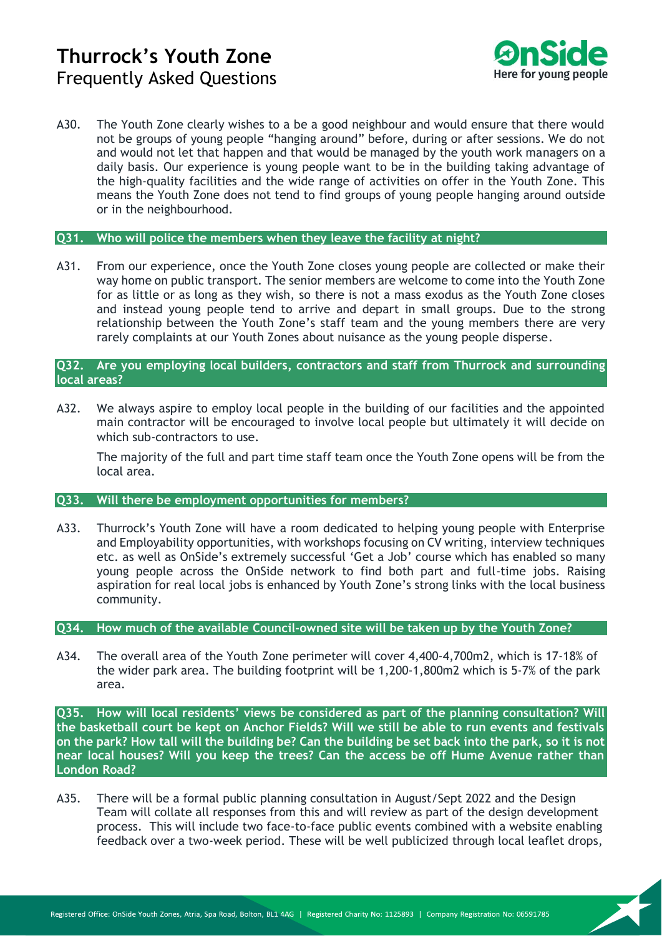

A30. The Youth Zone clearly wishes to a be a good neighbour and would ensure that there would not be groups of young people "hanging around" before, during or after sessions. We do not and would not let that happen and that would be managed by the youth work managers on a daily basis. Our experience is young people want to be in the building taking advantage of the high-quality facilities and the wide range of activities on offer in the Youth Zone. This means the Youth Zone does not tend to find groups of young people hanging around outside or in the neighbourhood.

#### <span id="page-7-0"></span>**Q31. Who will police the members when they leave the facility at night?**

A31. From our experience, once the Youth Zone closes young people are collected or make their way home on public transport. The senior members are welcome to come into the Youth Zone for as little or as long as they wish, so there is not a mass exodus as the Youth Zone closes and instead young people tend to arrive and depart in small groups. Due to the strong relationship between the Youth Zone's staff team and the young members there are very rarely complaints at our Youth Zones about nuisance as the young people disperse.

## <span id="page-7-1"></span>**Q32. Are you employing local builders, contractors and staff from Thurrock and surrounding local areas?**

A32. We always aspire to employ local people in the building of our facilities and the appointed main contractor will be encouraged to involve local people but ultimately it will decide on which sub-contractors to use.

The majority of the full and part time staff team once the Youth Zone opens will be from the local area.

#### <span id="page-7-2"></span>**Q33. Will there be employment opportunities for members?**

A33. Thurrock's Youth Zone will have a room dedicated to helping young people with Enterprise and Employability opportunities, with workshops focusing on CV writing, interview techniques etc. as well as OnSide's extremely successful 'Get a Job' course which has enabled so many young people across the OnSide network to find both part and full-time jobs. Raising aspiration for real local jobs is enhanced by Youth Zone's strong links with the local business community.

#### <span id="page-7-3"></span>**Q34. How much of the available Council-owned site will be taken up by the Youth Zone?**

A34. The overall area of the Youth Zone perimeter will cover 4,400-4,700m2, which is 17-18% of the wider park area. The building footprint will be 1,200-1,800m2 which is 5-7% of the park area.

<span id="page-7-4"></span>**Q35. How will local residents' views be considered as part of the planning consultation? Will the basketball court be kept on Anchor Fields? Will we still be able to run events and festivals on the park? How tall will the building be? Can the building be set back into the park, so it is not near local houses? Will you keep the trees? Can the access be off Hume Avenue rather than London Road?**

A35. There will be a formal public planning consultation in August/Sept 2022 and the Design Team will collate all responses from this and will review as part of the design development process. This will include two face-to-face public events combined with a website enabling feedback over a two-week period. These will be well publicized through local leaflet drops,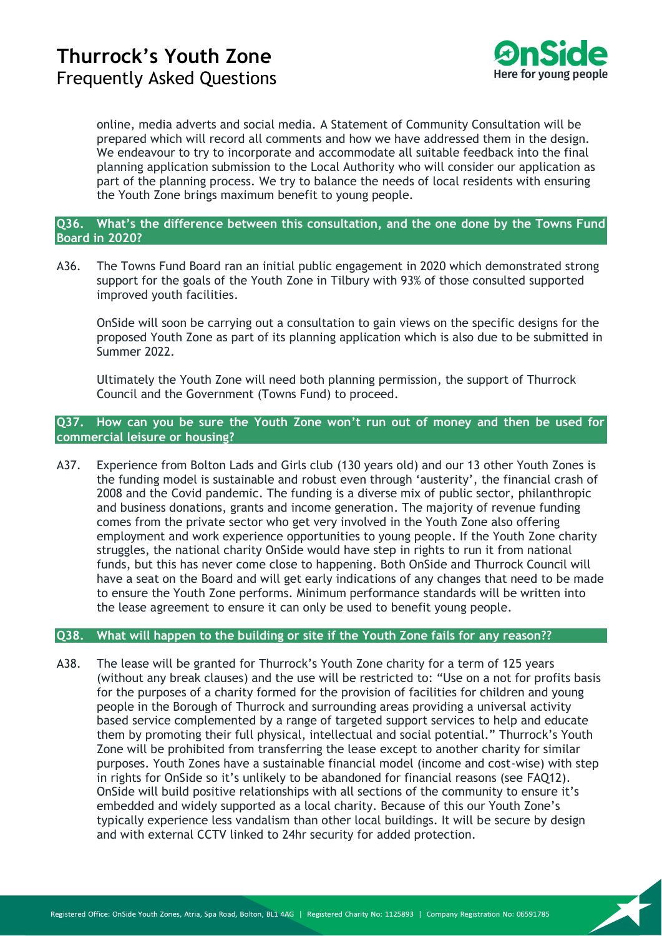

online, media adverts and social media. A Statement of Community Consultation will be prepared which will record all comments and how we have addressed them in the design. We endeavour to try to incorporate and accommodate all suitable feedback into the final planning application submission to the Local Authority who will consider our application as part of the planning process. We try to balance the needs of local residents with ensuring the Youth Zone brings maximum benefit to young people.

## <span id="page-8-0"></span>**Q36. What's the difference between this consultation, and the one done by the Towns Fund Board in 2020?**

A36. The Towns Fund Board ran an initial public engagement in 2020 which demonstrated strong support for the goals of the Youth Zone in Tilbury with 93% of those consulted supported improved youth facilities.

OnSide will soon be carrying out a consultation to gain views on the specific designs for the proposed Youth Zone as part of its planning application which is also due to be submitted in Summer 2022.

Ultimately the Youth Zone will need both planning permission, the support of Thurrock Council and the Government (Towns Fund) to proceed.

### <span id="page-8-1"></span>**Q37. How can you be sure the Youth Zone won't run out of money and then be used for commercial leisure or housing?**

A37. Experience from Bolton Lads and Girls club (130 years old) and our 13 other Youth Zones is the funding model is sustainable and robust even through 'austerity', the financial crash of 2008 and the Covid pandemic. The funding is a diverse mix of public sector, philanthropic and business donations, grants and income generation. The majority of revenue funding comes from the private sector who get very involved in the Youth Zone also offering employment and work experience opportunities to young people. If the Youth Zone charity struggles, the national charity OnSide would have step in rights to run it from national funds, but this has never come close to happening. Both OnSide and Thurrock Council will have a seat on the Board and will get early indications of any changes that need to be made to ensure the Youth Zone performs. Minimum performance standards will be written into the lease agreement to ensure it can only be used to benefit young people.

## **Q38. What will happen to the building or site if the Youth Zone fails for any reason??**

A38. The lease will be granted for Thurrock's Youth Zone charity for a term of 125 years (without any break clauses) and the use will be restricted to: "Use on a not for profits basis for the purposes of a charity formed for the provision of facilities for children and young people in the Borough of Thurrock and surrounding areas providing a universal activity based service complemented by a range of targeted support services to help and educate them by promoting their full physical, intellectual and social potential." Thurrock's Youth Zone will be prohibited from transferring the lease except to another charity for similar purposes. Youth Zones have a sustainable financial model (income and cost-wise) with step in rights for OnSide so it's unlikely to be abandoned for financial reasons (see FAQ12). OnSide will build positive relationships with all sections of the community to ensure it's embedded and widely supported as a local charity. Because of this our Youth Zone's typically experience less vandalism than other local buildings. It will be secure by design and with external CCTV linked to 24hr security for added protection.